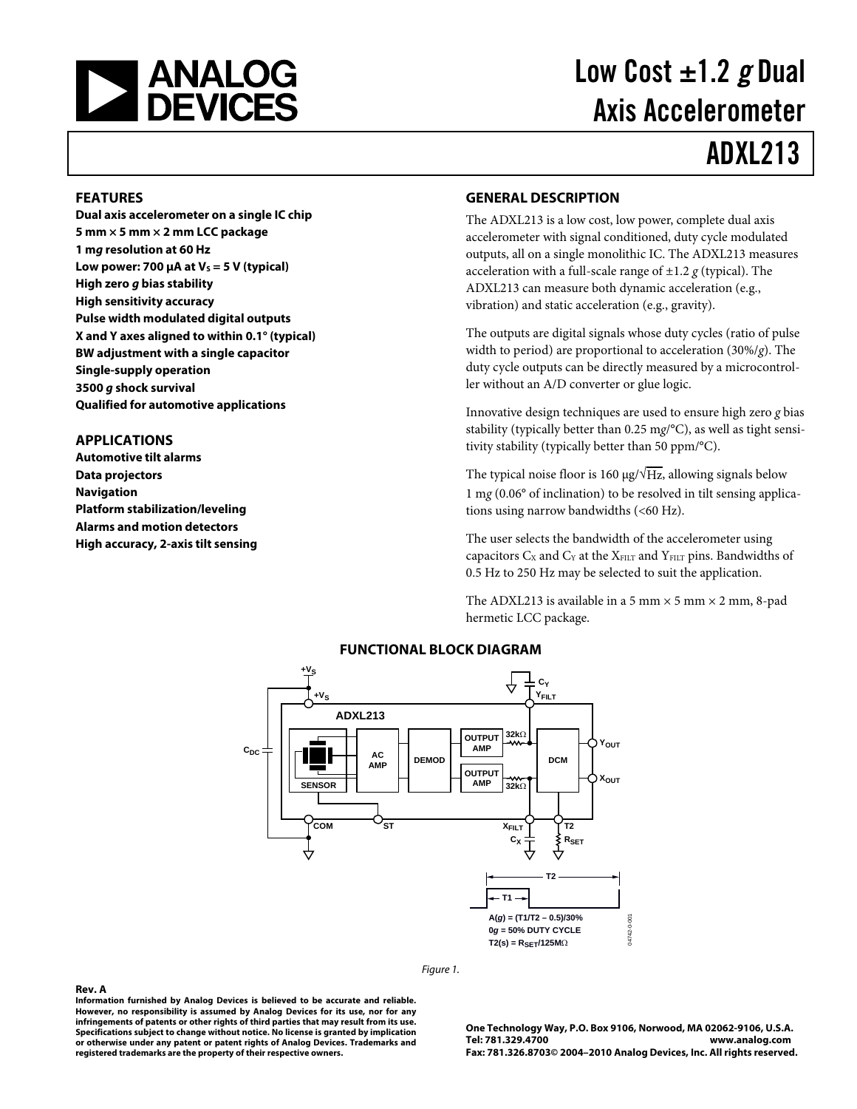

# Low Cost  $\pm 1.2$  g Dual Axis Accelerometer

# ADXL213

#### **FEATURES**

**Dual axis accelerometer on a single IC chip 5 mm × 5 mm × 2 mm LCC package 1 mg resolution at 60 Hz**  Low power: 700 μA at V<sub>s</sub> = 5 V (typical) **High zero g bias stability High sensitivity accuracy Pulse width modulated digital outputs X and Y axes aligned to within 0.1° (typical) BW adjustment with a single capacitor Single-supply operation 3500 g shock survival Qualified for automotive applications** 

#### **APPLICATIONS**

**Rev. A** 

**Automotive tilt alarms Data projectors Navigation Platform stabilization/leveling Alarms and motion detectors High accuracy, 2-axis tilt sensing** 

#### **GENERAL DESCRIPTION**

The ADXL213 is a low cost, low power, complete dual axis accelerometer with signal conditioned, duty cycle modulated outputs, all on a single monolithic IC. The ADXL213 measures acceleration with a full-scale range of  $\pm$ 1.2  $g$  (typical). The ADXL213 can measure both dynamic acceleration (e.g., vibration) and static acceleration (e.g., gravity).

The outputs are digital signals whose duty cycles (ratio of pulse width to period) are proportional to acceleration (30%/*g*). The duty cycle outputs can be directly measured by a microcontroller without an A/D converter or glue logic.

Innovative design techniques are used to ensure high zero *g* bias stability (typically better than 0.25 m*g*/°C), as well as tight sensitivity stability (typically better than 50 ppm/°C).

The typical noise floor is 160  $\mu$ g/ $\sqrt{Hz}$ , allowing signals below 1 m*g* (0.06° of inclination) to be resolved in tilt sensing applications using narrow bandwidths (<60 Hz).

The user selects the bandwidth of the accelerometer using capacitors  $C_X$  and  $C_Y$  at the  $X_{FILT}$  and  $Y_{FILT}$  pins. Bandwidths of 0.5 Hz to 250 Hz may be selected to suit the application.

The ADXL213 is available in a 5 mm  $\times$  5 mm  $\times$  2 mm, 8-pad hermetic LCC package.



#### **FUNCTIONAL BLOCK DIAGRAM**

Figure 1.

**Information furnished by Analog Devices is believed to be accurate and reliable. However, no responsibility is assumed by Analog Devices for its use, nor for any infringements of patents or other rights of third parties that may result from its use. Specifications subject to change without notice. No license is granted by implication or otherwise under any patent or patent rights of Analog Devices. Trademarks and registered trademarks are the property of their respective owners.**

**One Technology Way, P.O. Box 9106, Norwood, MA 02062-9106, U.S.A. Tel: 781.329.4700 www.analog.com Fax: 781.326.8703© 2004–2010 Analog Devices, Inc. All rights reserved.**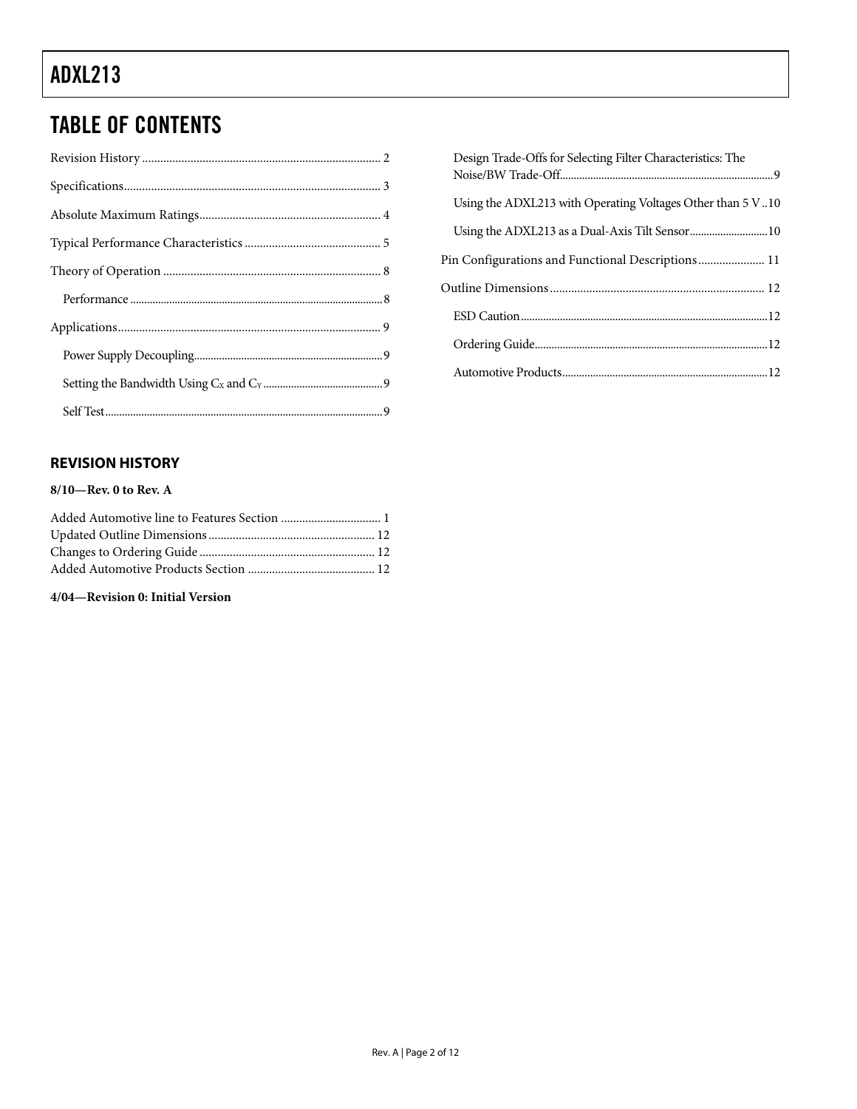### TABLE OF CONTENTS

#### **REVISION HISTORY**

#### **8/10—Rev. 0 to Rev. A**

#### **4/04—Revision 0: Initial Version**

| Design Trade-Offs for Selecting Filter Characteristics: The |
|-------------------------------------------------------------|
| Using the ADXL213 with Operating Voltages Other than 5 V.10 |
| Using the ADXL213 as a Dual-Axis Tilt Sensor 10             |
| Pin Configurations and Functional Descriptions 11           |
|                                                             |
|                                                             |
|                                                             |
|                                                             |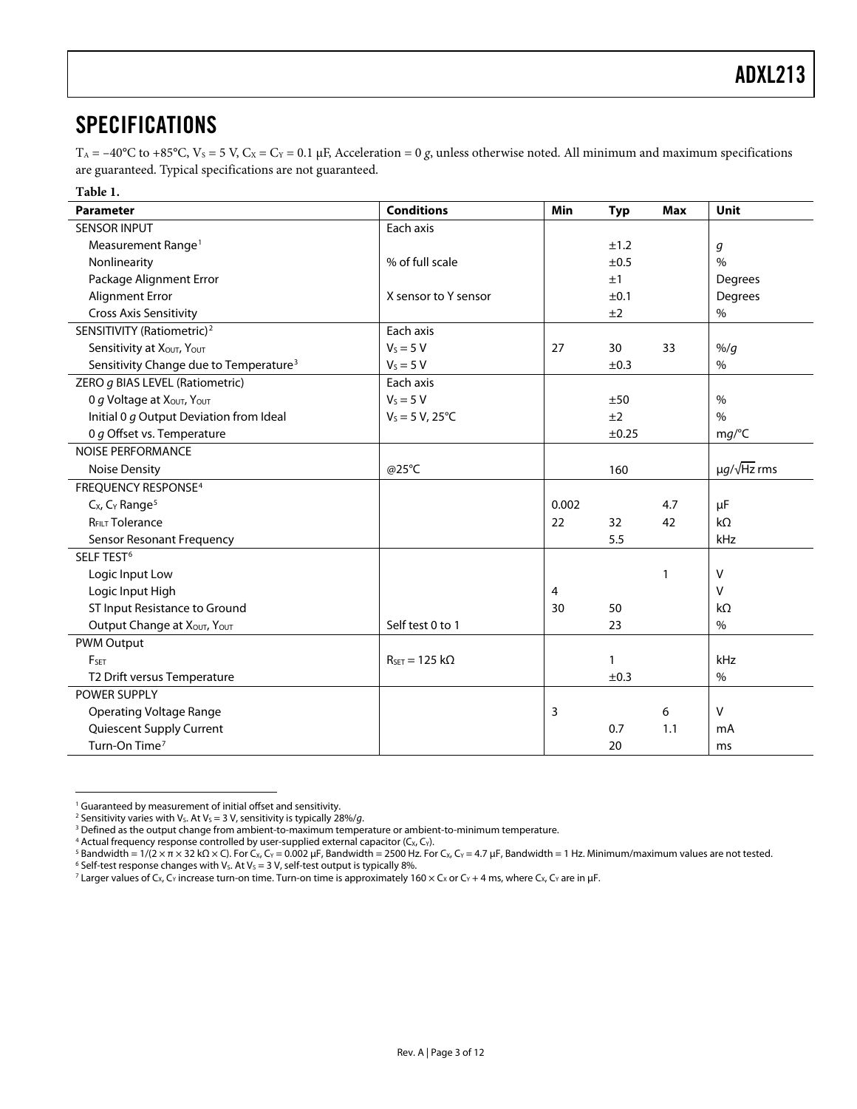### <span id="page-2-1"></span><span id="page-2-0"></span>SPECIFICATIONS

T<sub>A</sub> = -40°C to +85°C, V<sub>s</sub> = 5 V, C<sub>x</sub> = C<sub>Y</sub> = 0.1 µF, Acceleration = 0 *g*, unless otherwise noted. All minimum and maximum specifications are guaranteed. Typical specifications are not guaranteed.

| Table 1.                                           |                                        |       |              |            |                         |
|----------------------------------------------------|----------------------------------------|-------|--------------|------------|-------------------------|
| <b>Parameter</b>                                   | <b>Conditions</b>                      | Min   | <b>Typ</b>   | <b>Max</b> | Unit                    |
| <b>SENSOR INPUT</b>                                | Each axis                              |       |              |            |                         |
| Measurement Range <sup>1</sup>                     |                                        |       | ±1.2         |            | g                       |
| Nonlinearity                                       | % of full scale                        |       | ±0.5         |            | $\frac{0}{0}$           |
| Package Alignment Error                            |                                        |       | ±1           |            | Degrees                 |
| Alignment Error                                    | X sensor to Y sensor                   |       | ±0.1         |            | Degrees                 |
| <b>Cross Axis Sensitivity</b>                      |                                        |       | ±2           |            | $\%$                    |
| SENSITIVITY (Ratiometric) <sup>2</sup>             | Each axis                              |       |              |            |                         |
| Sensitivity at XOUT, YOUT                          | $V_s = 5 V$                            | 27    | 30           | 33         | $%$ /g                  |
| Sensitivity Change due to Temperature <sup>3</sup> | $V_s = 5 V$                            |       | ±0.3         |            | $\%$                    |
| ZERO g BIAS LEVEL (Ratiometric)                    | Each axis                              |       |              |            |                         |
| O g Voltage at XOUT, YOUT                          | $V_s = 5 V$                            |       | ±50          |            | $\%$                    |
| Initial 0 g Output Deviation from Ideal            | $V_s = 5 V, 25^{\circ}C$               |       | ±2           |            | $\frac{0}{0}$           |
| 0 g Offset vs. Temperature                         |                                        |       | ±0.25        |            | mg/°C                   |
| <b>NOISE PERFORMANCE</b>                           |                                        |       |              |            |                         |
| <b>Noise Density</b>                               | @25°C                                  |       | 160          |            | $\mu q / \sqrt{Hz}$ rms |
| <b>FREQUENCY RESPONSE<sup>4</sup></b>              |                                        |       |              |            |                         |
| C <sub>x</sub> , C <sub>Y</sub> Range <sup>5</sup> |                                        | 0.002 |              | 4.7        | μF                      |
| <b>RFILT Tolerance</b>                             |                                        | 22    | 32           | 42         | $k\Omega$               |
| Sensor Resonant Frequency                          |                                        |       | 5.5          |            | kHz                     |
| SELF TEST <sup>6</sup>                             |                                        |       |              |            |                         |
| Logic Input Low                                    |                                        |       |              | 1          | V                       |
| Logic Input High                                   |                                        | 4     |              |            | $\vee$                  |
| ST Input Resistance to Ground                      |                                        | 30    | 50           |            | $k\Omega$               |
| Output Change at XOUT, YOUT                        | Self test 0 to 1                       |       | 23           |            | $\%$                    |
| <b>PWM Output</b>                                  |                                        |       |              |            |                         |
| <b>FSET</b>                                        | $R_{\text{SET}} = 125 \text{ k}\Omega$ |       | $\mathbf{1}$ |            | kHz                     |
| T2 Drift versus Temperature                        |                                        |       | ±0.3         |            | $\%$                    |
| <b>POWER SUPPLY</b>                                |                                        |       |              |            |                         |
| <b>Operating Voltage Range</b>                     |                                        | 3     |              | 6          | v                       |
| Quiescent Supply Current                           |                                        |       | 0.7          | 1.1        | mA                      |
| Turn-On Time <sup>7</sup>                          |                                        |       | 20           |            | ms                      |

<sup>&</sup>lt;sup>1</sup> Guaranteed by measurement of initial offset and sensitivity. <sup>1</sup> Guaranteed by measurement of initial offset and sensitivity.<br><sup>2</sup> Sensitivity varies with Ve At Ve – 3 V, sensitivity is typically 28

 $\overline{a}$ 

<sup>&</sup>lt;sup>2</sup> Sensitivity varies with V<sub>s</sub>. At V<sub>s</sub> = 3 V, sensitivity is typically 28%/*g.*<br><sup>3</sup> Defined as the output change from ambient-to-maximum temper

<sup>&</sup>lt;sup>3</sup> Defined as the output change from ambient-to-maximum temperature or ambient-to-minimum temperature.

<sup>&</sup>lt;sup>4</sup> Actual frequency response controlled by user-supplied external capacitor ( $C_{X}$ ,  $C_{Y}$ ). <sup>4</sup> Actual frequency response controlled by user-supplied external capacitor (C<sub>X</sub>, C<sub>Y</sub>).<br><sup>5</sup> Bandwidth = 1/(2 × π × 32 kO × C). For C× C× = 0.002 uE. Bandwidth = 2500 Hz. For

<sup>&</sup>lt;sup>5</sup> Bandwidth = 1/(2 × π × 32 kΩ × C). For C<sub>X</sub>, C<sub>Y</sub> = 0.002 μF, Bandwidth = 2500 Hz. For C<sub>X</sub>, C<sub>Y</sub> = 4.7 μF, Bandwidth = 1 Hz. Minimum/maximum values are not tested.<br><sup>6</sup> Self-test response changes with Ve, At Ve = 3 V

<sup>&</sup>lt;sup>6</sup> Self-test response changes with Vs. At Vs = 3 V, self-test output is typically 8%.<br><sup>7</sup> Larger values of C<sub>X</sub>, C<sub>Y</sub> increase turn-on time. Turn-on time is approximately 160 × C<sub>x</sub> or C<sub>Y</sub> + 4 ms, where C<sub>X</sub>, C<sub>Y</sub> are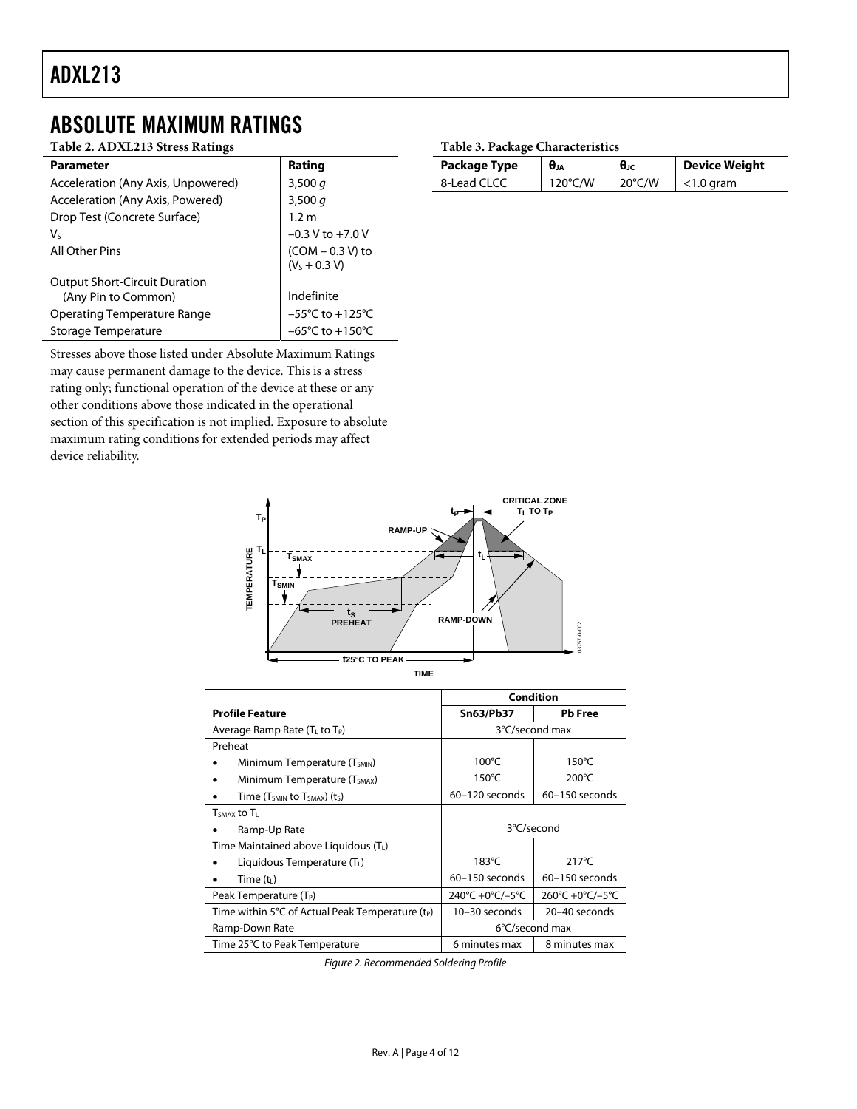### <span id="page-3-0"></span>ABSOLUTE MAXIMUM RATINGS

#### **Table 2. ADXL213 Stress Ratings**

| <b>Parameter</b>                     | Rating                               |
|--------------------------------------|--------------------------------------|
| Acceleration (Any Axis, Unpowered)   | 3,500 $q$                            |
| Acceleration (Any Axis, Powered)     | 3,500 $q$                            |
| Drop Test (Concrete Surface)         | 1.2 m                                |
| V٢                                   | $-0.3 V$ to $+7.0 V$                 |
| All Other Pins                       | $(COM - 0.3 V)$ to<br>$(V5 + 0.3 V)$ |
| <b>Output Short-Circuit Duration</b> |                                      |
| (Any Pin to Common)                  | Indefinite                           |
| Operating Temperature Range          | $-55^{\circ}$ C to $+125^{\circ}$ C  |
| Storage Temperature                  | $-65^{\circ}$ C to $+150^{\circ}$ C  |

Stresses above those listed under Absolute Maximum Ratings may cause permanent damage to the device. This is a stress rating only; functional operation of the device at these or any other conditions above those indicated in the operational section of this specification is not implied. Exposure to absolute maximum rating conditions for extended periods may affect device reliability.

#### **Table 3. Package Characteristics**

| Package Type | $\theta_{JA}$     | $\theta_{\rm JC}$ | <b>Device Weight</b> |
|--------------|-------------------|-------------------|----------------------|
| 8-Lead CLCC  | $120^{\circ}$ C/W | $20^{\circ}$ C/W  | $<$ 1.0 gram         |



|                                                              | Condition          |                  |  |
|--------------------------------------------------------------|--------------------|------------------|--|
| <b>Profile Feature</b>                                       | <b>Sn63/Pb37</b>   | <b>Pb</b> Free   |  |
| Average Ramp Rate ( $T_L$ to $T_P$ )                         |                    | 3°C/second max   |  |
| Preheat                                                      |                    |                  |  |
| Minimum Temperature (T <sub>SMIN</sub> )                     | $100^{\circ}$ C    | $150^{\circ}$ C  |  |
| Minimum Temperature (T <sub>SMAX</sub> )                     | $150^{\circ}$ C    | $200^{\circ}$ C  |  |
| Time ( $T_{SMIN}$ to $T_{SMAX}$ ) (ts)                       | 60-120 seconds     | $60-150$ seconds |  |
| T <sub>SMAX</sub> to T <sub>L</sub>                          |                    |                  |  |
| Ramp-Up Rate                                                 | 3°C/second         |                  |  |
| Time Maintained above Liquidous $(TL)$                       |                    |                  |  |
| Liquidous Temperature $(TL)$                                 | $183^{\circ}$ C    | $217^{\circ}$ C  |  |
| Time $(t_L)$                                                 | $60 - 150$ seconds | $60-150$ seconds |  |
| Peak Temperature (T <sub>P</sub> )                           | 240°C +0°C/-5°C    | 260°C +0°C/-5°C  |  |
| Time within 5°C of Actual Peak Temperature (t <sub>P</sub> ) | 10-30 seconds      | 20-40 seconds    |  |
| Ramp-Down Rate                                               |                    | 6°C/second max   |  |
| Time 25°C to Peak Temperature                                | 6 minutes max      | 8 minutes max    |  |

Figure 2. Recommended Soldering Profile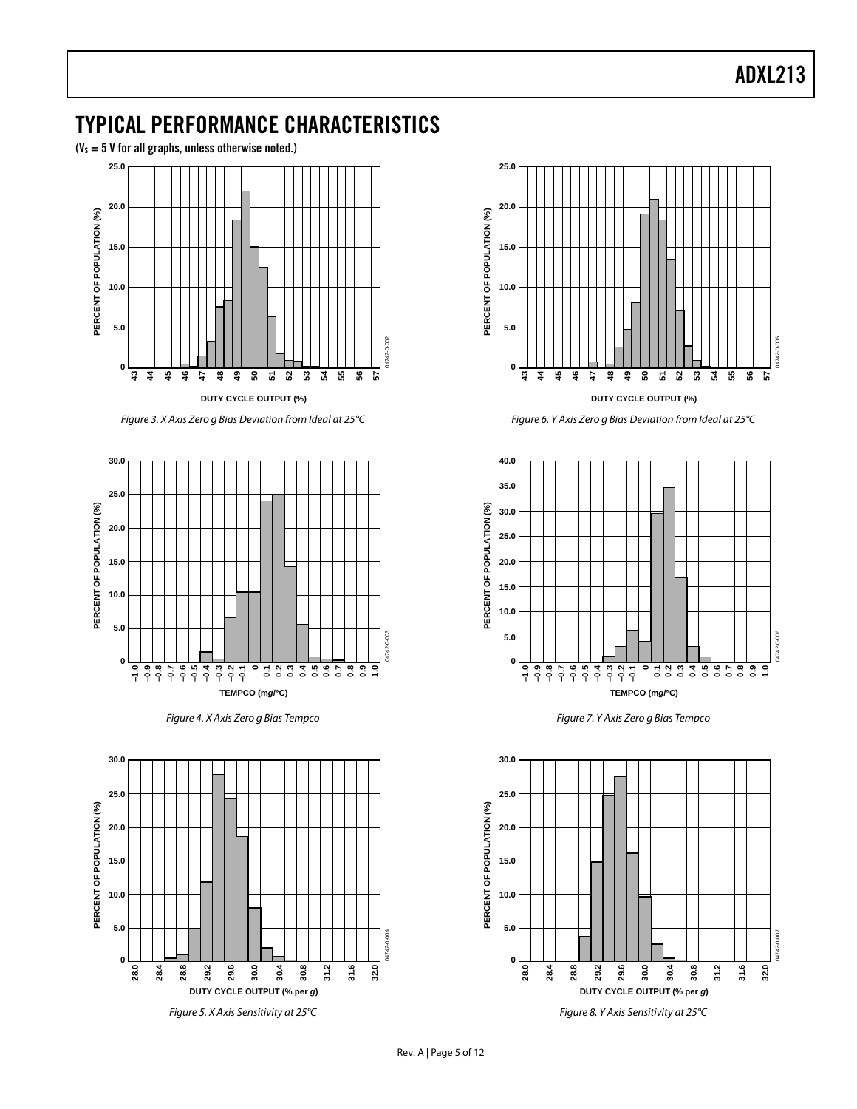### <span id="page-4-0"></span>TYPICAL PERFORMANCE CHARACTERISTICS

 $(V_s = 5 V$  for all graphs, unless otherwise noted.)



Figure 3. X Axis Zero g Bias Deviation from Ideal at 25°C



Figure 4. X Axis Zero g Bias Tempco





Figure 6. Y Axis Zero g Bias Deviation from Ideal at 25°C



Figure 7. Y Axis Zero g Bias Tempco

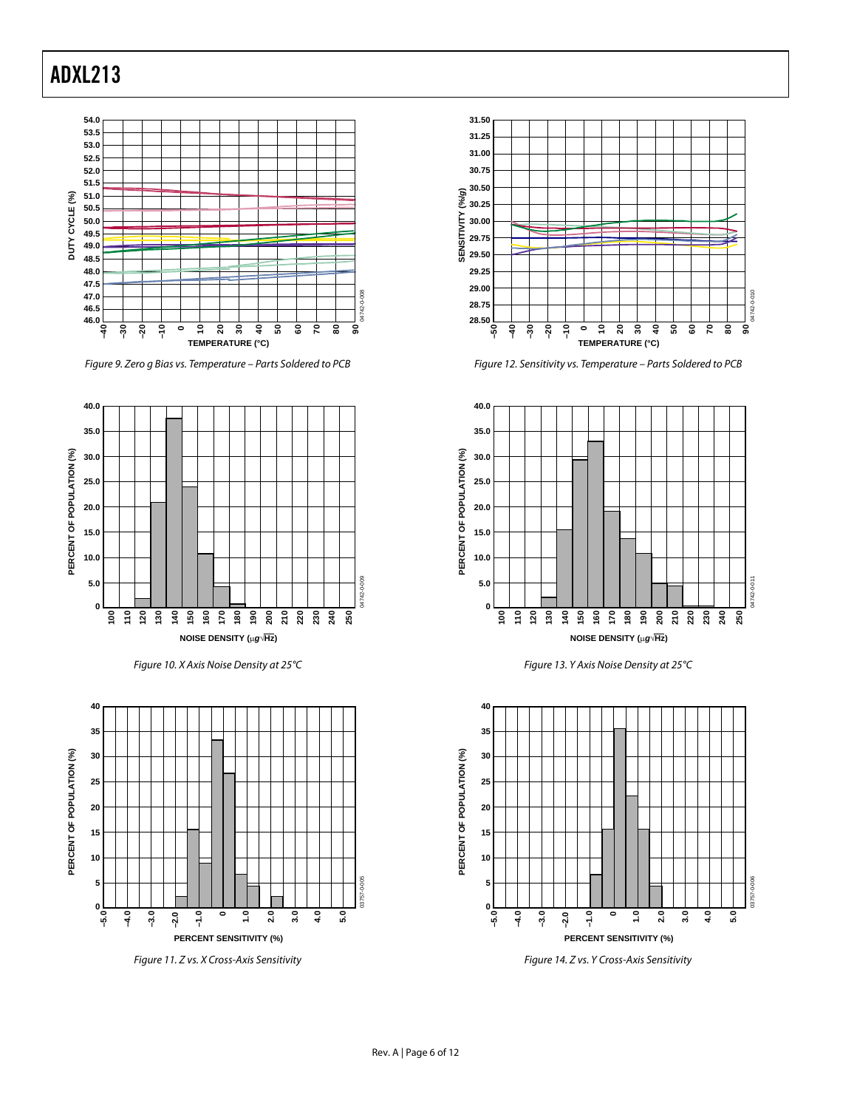

Figure 9. Zero g Bias vs. Temperature – Parts Soldered to PCB

<span id="page-5-0"></span>

Figure 10. X Axis Noise Density at 25°C



Figure 11. Z vs. X Cross-Axis Sensitivity



Figure 12. Sensitivity vs. Temperature – Parts Soldered to PCB



Figure 13. Y Axis Noise Density at 25°C



Figure 14. Z vs. Y Cross-Axis Sensitivity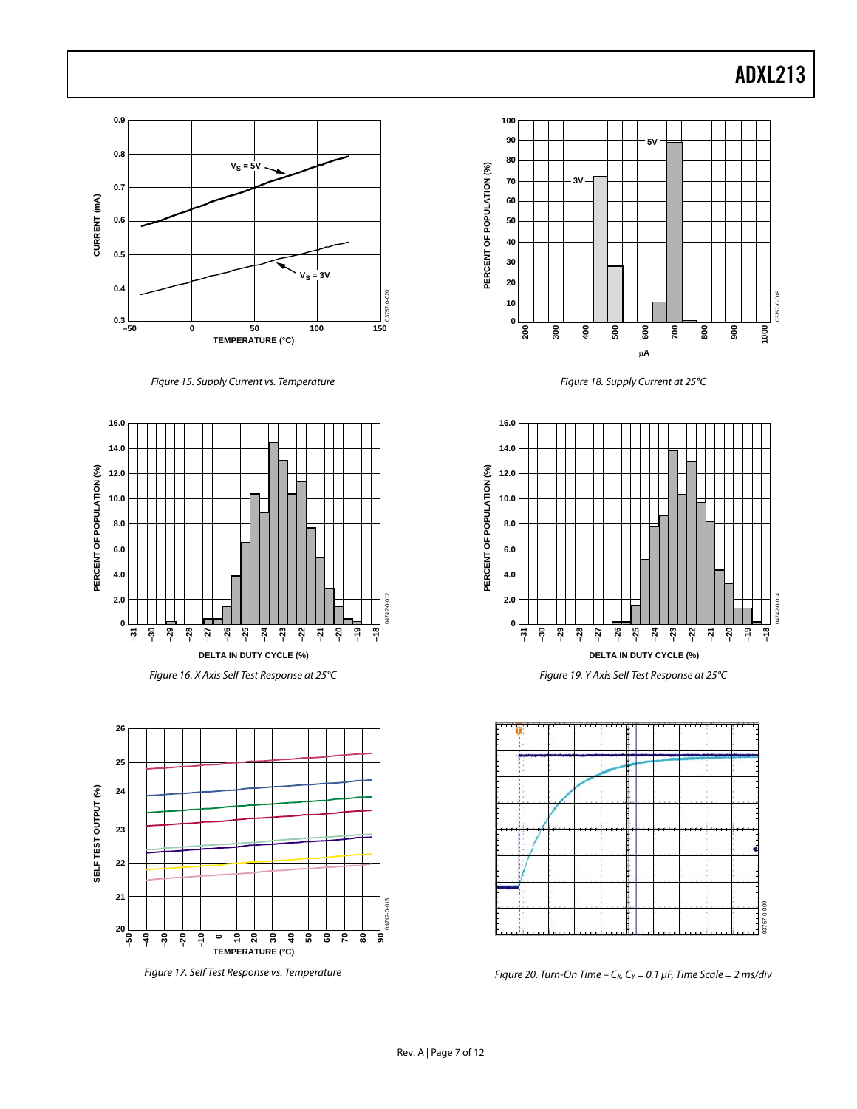

Figure 15. Supply Current vs. Temperature



Figure 16. X Axis Self Test Response at 25°C



Figure 17. Self Test Response vs. Temperature



Figure 18. Supply Current at 25°C



Figure 19. Y Axis Self Test Response at 25°C



Figure 20. Turn-On Time –  $C_x$ ,  $C_y$  = 0.1  $\mu$ F, Time Scale = 2 ms/div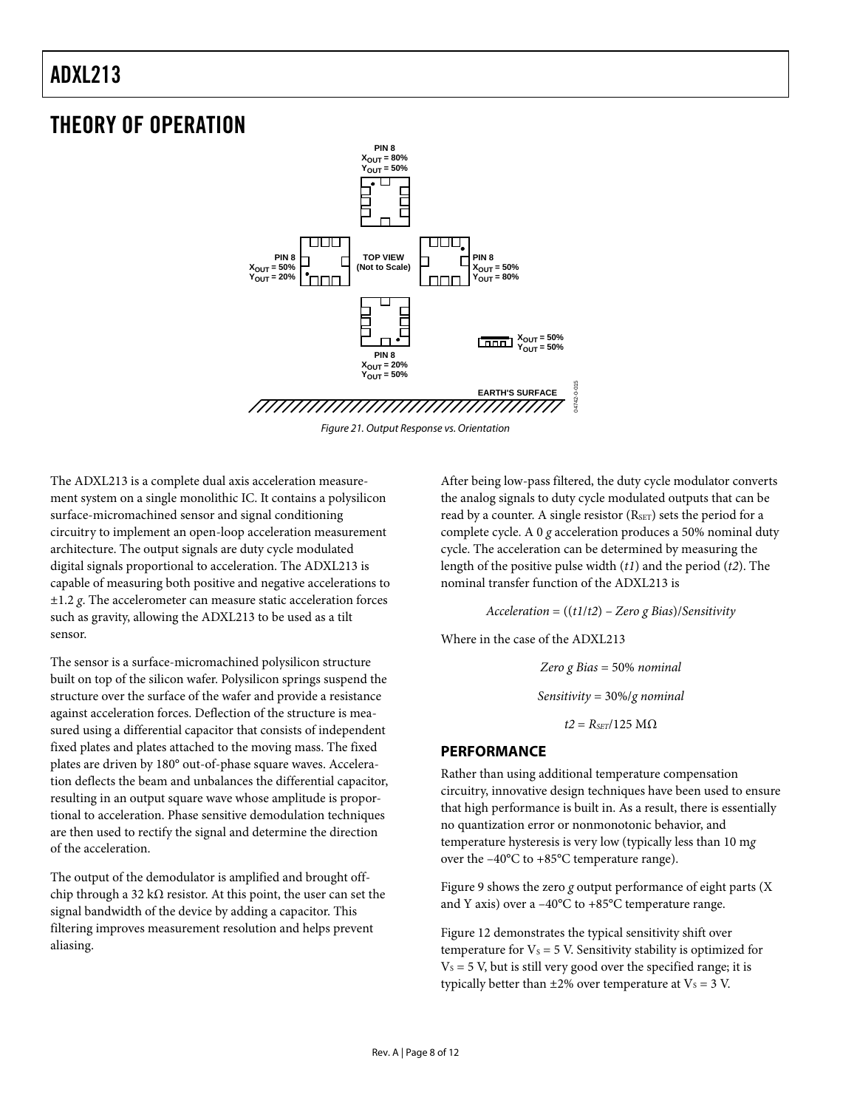### <span id="page-7-1"></span><span id="page-7-0"></span>THEORY OF OPERATION



Figure 21. Output Response vs. Orientation

The ADXL213 is a complete dual axis acceleration measurement system on a single monolithic IC. It contains a polysilicon surface-micromachined sensor and signal conditioning circuitry to implement an open-loop acceleration measurement architecture. The output signals are duty cycle modulated digital signals proportional to acceleration. The ADXL213 is capable of measuring both positive and negative accelerations to ±1.2 *g*. The accelerometer can measure static acceleration forces such as gravity, allowing the ADXL213 to be used as a tilt sensor.

The sensor is a surface-micromachined polysilicon structure built on top of the silicon wafer. Polysilicon springs suspend the structure over the surface of the wafer and provide a resistance against acceleration forces. Deflection of the structure is measured using a differential capacitor that consists of independent fixed plates and plates attached to the moving mass. The fixed plates are driven by 180° out-of-phase square waves. Acceleration deflects the beam and unbalances the differential capacitor, resulting in an output square wave whose amplitude is proportional to acceleration. Phase sensitive demodulation techniques are then used to rectify the signal and determine the direction of the acceleration.

The output of the demodulator is amplified and brought offchip through a 32 kΩ resistor. At this point, the user can set the signal bandwidth of the device by adding a capacitor. This filtering improves measurement resolution and helps prevent aliasing.

After being low-pass filtered, the duty cycle modulator converts the analog signals to duty cycle modulated outputs that can be read by a counter. A single resistor (RSET) sets the period for a complete cycle. A 0 *g* acceleration produces a 50% nominal duty cycle. The acceleration can be determined by measuring the length of the positive pulse width (*t1*) and the period (*t2*). The nominal transfer function of the ADXL213 is

04742-0-015

*Acceleration* = ((*t1*/*t2*) – *Zero g Bias*)/*Sensitivity*

Where in the case of the ADXL213

*Zero g Bias* = 50% *nominal Sensitivity* = 30%/*g nominal*  $t2 = R<sub>SET</sub>/125 M\Omega$ 

#### **PERFORMANCE**

Rather than using additional temperature compensation circuitry, innovative design techniques have been used to ensure that high performance is built in. As a result, there is essentially no quantization error or nonmonotonic behavior, and temperature hysteresis is very low (typically less than 10 m*g* over the –40°C to +85°C temperature range).

[Figure 9](#page-5-0) shows the zero *g* output performance of eight parts (X and Y axis) over a –40°C to +85°C temperature range.

[Figure 12](#page-5-0) demonstrates the typical sensitivity shift over temperature for  $V_s = 5$  V. Sensitivity stability is optimized for  $V<sub>S</sub> = 5$  V, but is still very good over the specified range; it is typically better than  $\pm 2\%$  over temperature at  $V_s = 3$  V.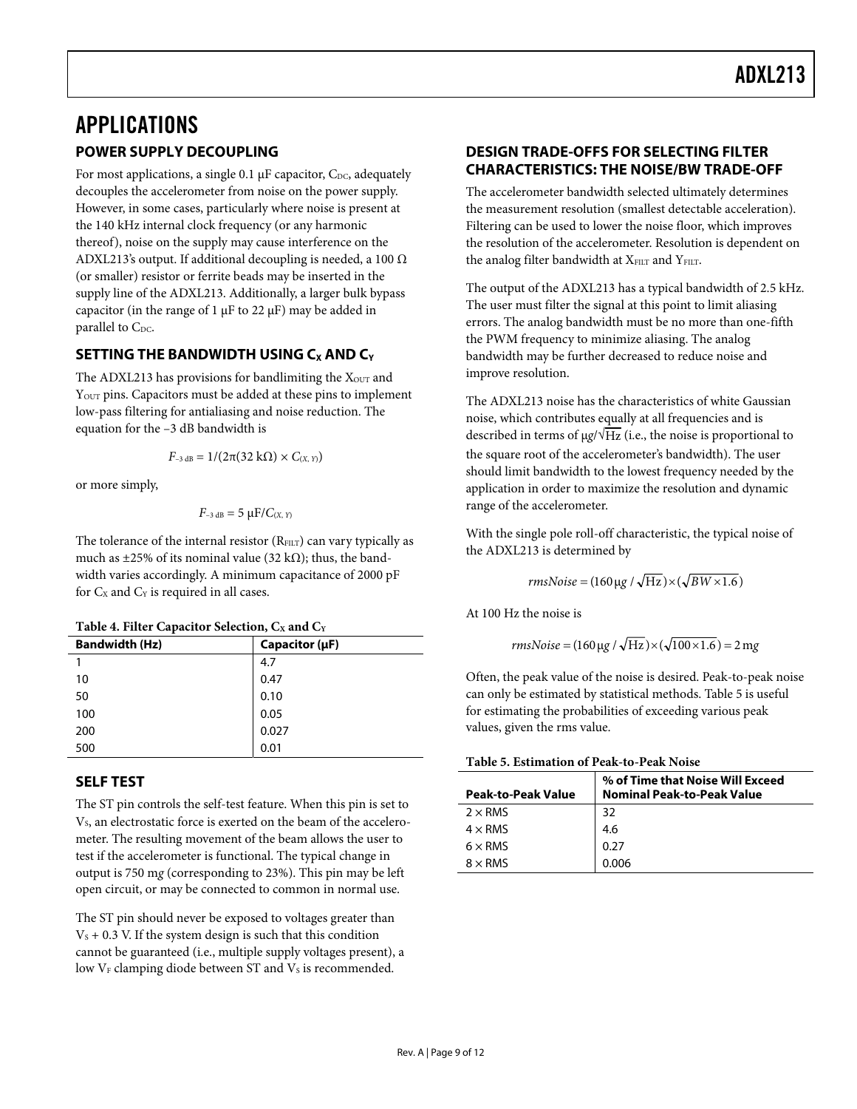# <span id="page-8-1"></span><span id="page-8-0"></span>APPLICATIONS

#### **POWER SUPPLY DECOUPLING**

For most applications, a single 0.1  $\mu$ F capacitor, C<sub>DC</sub>, adequately decouples the accelerometer from noise on the power supply. However, in some cases, particularly where noise is present at the 140 kHz internal clock frequency (or any harmonic thereof), noise on the supply may cause interference on the ADXL213's output. If additional decoupling is needed, a 100  $\Omega$ (or smaller) resistor or ferrite beads may be inserted in the supply line of the ADXL213. Additionally, a larger bulk bypass capacitor (in the range of 1  $\mu$ F to 22  $\mu$ F) may be added in parallel to C<sub>DC</sub>.

#### **SETTING THE BANDWIDTH USING C<sub>X</sub> AND C<sub>Y</sub>**

The ADXL213 has provisions for bandlimiting the  $X<sub>OUT</sub>$  and Y<sub>OUT</sub> pins. Capacitors must be added at these pins to implement low-pass filtering for antialiasing and noise reduction. The equation for the –3 dB bandwidth is

$$
F_{-3\,\text{dB}} = 1/(2\pi(32\,\text{k}\Omega) \times C_{(X,\,Y)})
$$

or more simply,

$$
F_{-3\,\text{dB}}=5\,\mu\text{F}/C_{(X,\,Y)}
$$

The tolerance of the internal resistor  $(R<sub>FILT</sub>)$  can vary typically as much as  $\pm 25\%$  of its nominal value (32 kΩ); thus, the bandwidth varies accordingly. A minimum capacitance of 2000 pF for  $C_x$  and  $C_y$  is required in all cases.

|  |  |  | Table 4. Filter Capacitor Selection, $C_X$ and $C_Y$ |  |  |
|--|--|--|------------------------------------------------------|--|--|
|--|--|--|------------------------------------------------------|--|--|

| -                     |                |
|-----------------------|----------------|
| <b>Bandwidth (Hz)</b> | Capacitor (µF) |
|                       | 4.7            |
| 10                    | 0.47           |
| 50                    | 0.10           |
| 100                   | 0.05           |
| 200                   | 0.027          |
| 500                   | 0.01           |

#### <span id="page-8-2"></span>**SELF TEST**

The ST pin controls the self-test feature. When this pin is set to V<sub>s</sub>, an electrostatic force is exerted on the beam of the accelerometer. The resulting movement of the beam allows the user to test if the accelerometer is functional. The typical change in output is 750 m*g* (corresponding to 23%). This pin may be left open circuit, or may be connected to common in normal use.

The ST pin should never be exposed to voltages greater than  $V<sub>S</sub> + 0.3$  V. If the system design is such that this condition cannot be guaranteed (i.e., multiple supply voltages present), a low  $V_F$  clamping diode between ST and  $V_S$  is recommended.

#### **DESIGN TRADE-OFFS FOR SELECTING FILTER CHARACTERISTICS: THE NOISE/BW TRADE-OFF**

The accelerometer bandwidth selected ultimately determines the measurement resolution (smallest detectable acceleration). Filtering can be used to lower the noise floor, which improves the resolution of the accelerometer. Resolution is dependent on the analog filter bandwidth at XFILT and YFILT.

The output of the ADXL213 has a typical bandwidth of 2.5 kHz. The user must filter the signal at this point to limit aliasing errors. The analog bandwidth must be no more than one-fifth the PWM frequency to minimize aliasing. The analog bandwidth may be further decreased to reduce noise and improve resolution.

The ADXL213 noise has the characteristics of white Gaussian noise, which contributes equally at all frequencies and is described in terms of μ*g*/√Hz (i.e., the noise is proportional to the square root of the accelerometer's bandwidth). The user should limit bandwidth to the lowest frequency needed by the application in order to maximize the resolution and dynamic range of the accelerometer.

With the single pole roll-off characteristic, the typical noise of the ADXL213 is determined by

$$
rmsNoise = (160 \,\mu\text{g} / \sqrt{\text{Hz}}) \times (\sqrt{BW \times 1.6})
$$

At 100 Hz the noise is

 $rmsNoise = (160 \,\mu g / \sqrt{Hz}) \times (\sqrt{100 \times 1.6}) = 2 \,\text{mg}$ 

Often, the peak value of the noise is desired. Peak-to-peak noise can only be estimated by statistical methods. [Table 5](#page-8-2) is useful for estimating the probabilities of exceeding various peak values, given the rms value.

#### **Table 5. Estimation of Peak-to-Peak Noise**

| <b>Peak-to-Peak Value</b> | % of Time that Noise Will Exceed<br><b>Nominal Peak-to-Peak Value</b> |
|---------------------------|-----------------------------------------------------------------------|
| $2 \times$ RMS            | 32                                                                    |
| $4 \times$ RMS            | 4.6                                                                   |
| $6 \times$ RMS            | 0.27                                                                  |
| $8 \times$ RMS            | 0.006                                                                 |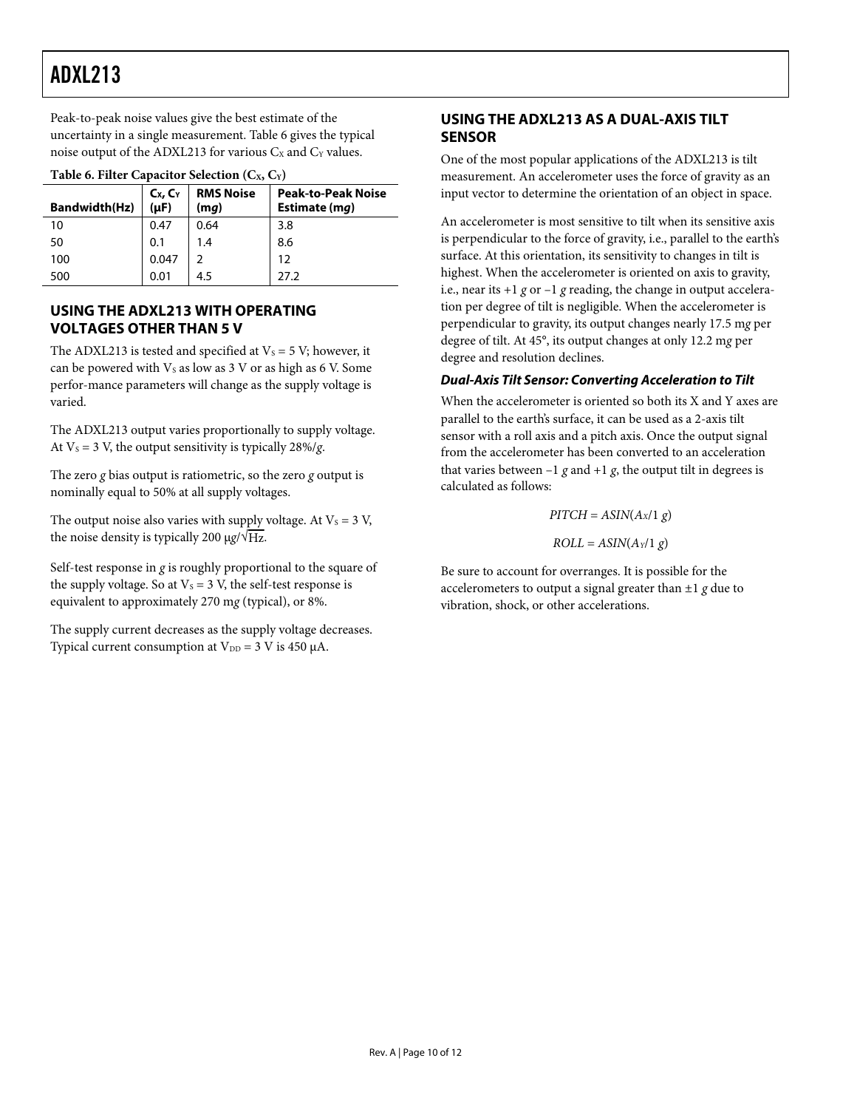<span id="page-9-1"></span><span id="page-9-0"></span>Peak-to-peak noise values give the best estimate of the uncertainty in a single measurement. [Table 6](#page-9-2) gives the typical noise output of the ADXL213 for various  $C_X$  and  $C_Y$  values.

<span id="page-9-2"></span>

| <b>Table 6. Filter Capacitor Selection (Cx, Cy)</b> |                         |                          |                                            |  |
|-----------------------------------------------------|-------------------------|--------------------------|--------------------------------------------|--|
| <b>Bandwidth(Hz)</b>                                | $C_x, C_y$<br>$(\mu F)$ | <b>RMS Noise</b><br>(mq) | <b>Peak-to-Peak Noise</b><br>Estimate (mq) |  |
| 10                                                  | 0.47                    | 0.64                     | 3.8                                        |  |
| 50                                                  | 0.1                     | 1.4                      | 8.6                                        |  |
| 100                                                 | 0.047                   |                          | 12                                         |  |
| 500                                                 | 0.01                    | 4.5                      | 27.2                                       |  |

#### **Table 6. Filter Capacitor Selection (CX, CY)**

#### **USING THE ADXL213 WITH OPERATING VOLTAGES OTHER THAN 5 V**

The ADXL213 is tested and specified at  $V_s = 5$  V; however, it can be powered with  $V_s$  as low as 3 V or as high as 6 V. Some perfor-mance parameters will change as the supply voltage is varied.

The ADXL213 output varies proportionally to supply voltage. At  $V_s = 3$  V, the output sensitivity is typically 28%/g.

The zero *g* bias output is ratiometric, so the zero *g* output is nominally equal to 50% at all supply voltages.

The output noise also varies with supply voltage. At  $V_s = 3 V$ , the noise density is typically 200 μg/ $\sqrt{Hz}$ .

Self-test response in *g* is roughly proportional to the square of the supply voltage. So at  $V_s = 3$  V, the self-test response is equivalent to approximately 270 m*g* (typical), or 8%.

The supply current decreases as the supply voltage decreases. Typical current consumption at  $V_{DD} = 3$  V is 450  $\mu$ A.

#### **USING THE ADXL213 AS A DUAL-AXIS TILT SENSOR**

One of the most popular applications of the ADXL213 is tilt measurement. An accelerometer uses the force of gravity as an input vector to determine the orientation of an object in space.

An accelerometer is most sensitive to tilt when its sensitive axis is perpendicular to the force of gravity, i.e., parallel to the earth's surface. At this orientation, its sensitivity to changes in tilt is highest. When the accelerometer is oriented on axis to gravity, i.e., near its  $+1$  *g* or  $-1$  *g* reading, the change in output acceleration per degree of tilt is negligible. When the accelerometer is perpendicular to gravity, its output changes nearly 17.5 m*g* per degree of tilt. At 45°, its output changes at only 12.2 m*g* per degree and resolution declines.

#### **Dual-Axis Tilt Sensor: Converting Acceleration to Tilt**

When the accelerometer is oriented so both its X and Y axes are parallel to the earth's surface, it can be used as a 2-axis tilt sensor with a roll axis and a pitch axis. Once the output signal from the accelerometer has been converted to an acceleration that varies between  $-1$  *g* and  $+1$  *g*, the output tilt in degrees is calculated as follows:

> $PITCH = ASIN(A_X/1 g)$  $ROLL = ASIN(A<sub>Y</sub>/1 g)$

Be sure to account for overranges. It is possible for the accelerometers to output a signal greater than ±1 *g* due to vibration, shock, or other accelerations.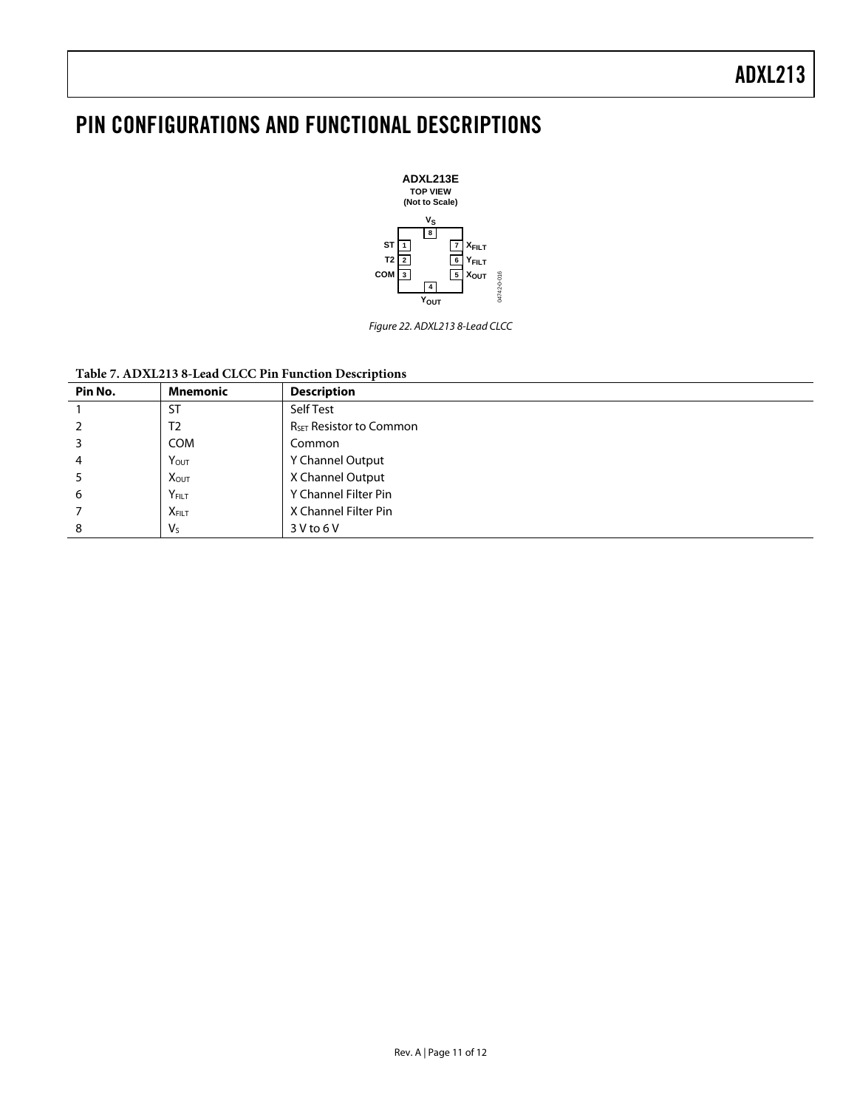### <span id="page-10-0"></span>PIN CONFIGURATIONS AND FUNCTIONAL DESCRIPTIONS



Figure 22. ADXL213 8-Lead CLCC

#### **Table 7. ADXL213 8-Lead CLCC Pin Function Descriptions**

| Pin No. | <b>Mnemonic</b>         | <b>Description</b>                  |
|---------|-------------------------|-------------------------------------|
|         | <b>ST</b>               | Self Test                           |
|         | T <sub>2</sub>          | R <sub>SET</sub> Resistor to Common |
|         | <b>COM</b>              | Common                              |
| 4       | YOUT                    | Y Channel Output                    |
|         | <b>X</b> <sub>OUT</sub> | X Channel Output                    |
| b       | YFILT                   | Y Channel Filter Pin                |
|         | <b>XFILT</b>            | X Channel Filter Pin                |
| 8       | $V_{S}$                 | $3V$ to $6V$                        |